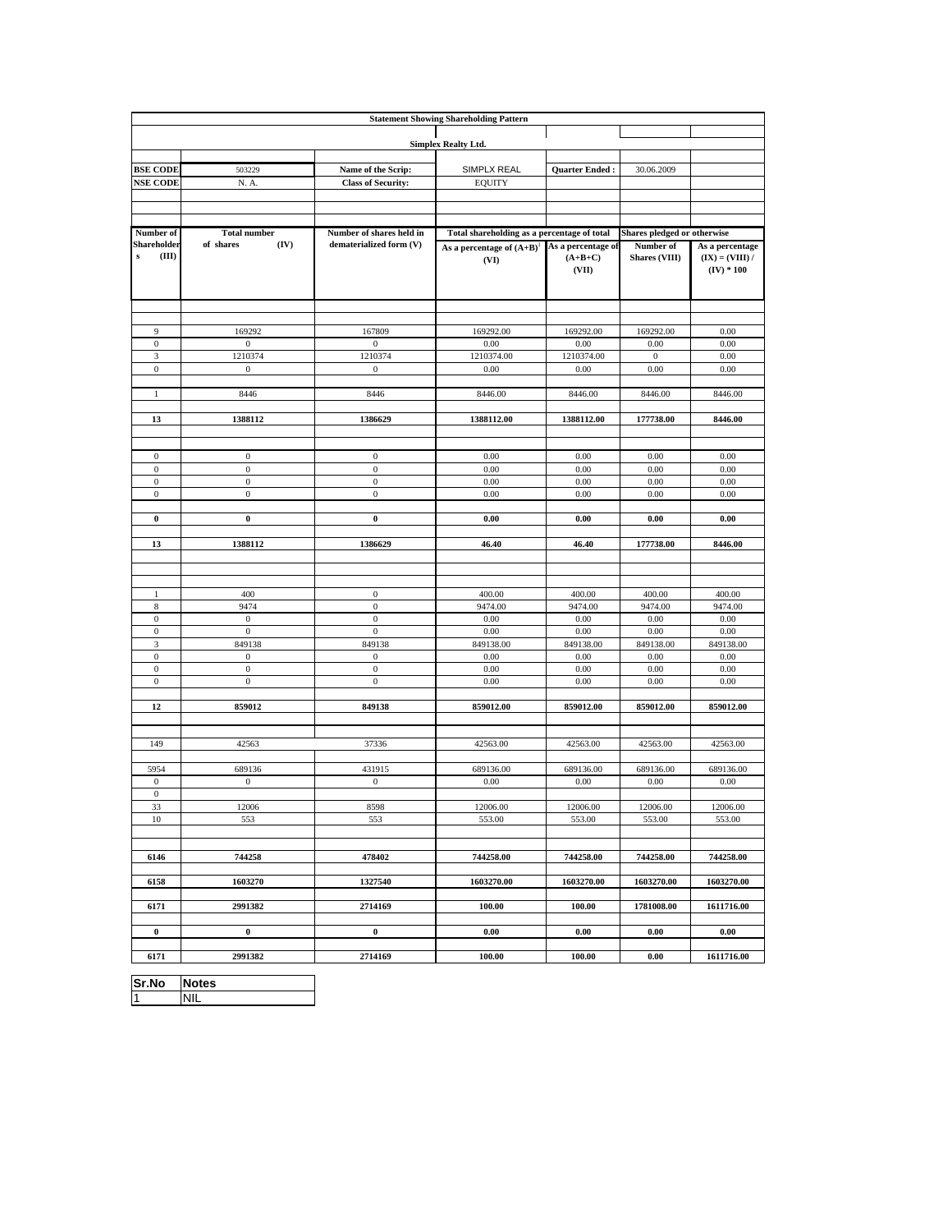| <b>Statement Showing Shareholding Pattern</b> |                                  |                                      |                                             |                       |                             |                                   |
|-----------------------------------------------|----------------------------------|--------------------------------------|---------------------------------------------|-----------------------|-----------------------------|-----------------------------------|
|                                               |                                  |                                      |                                             |                       |                             |                                   |
|                                               |                                  |                                      | <b>Simplex Realty Ltd.</b>                  |                       |                             |                                   |
| <b>BSE CODE</b>                               | 503229                           | Name of the Scrip:                   | SIMPLX REAL                                 | <b>Ouarter Ended:</b> | 30.06.2009                  |                                   |
| <b>NSE CODE</b>                               | N. A.                            | <b>Class of Security:</b>            | <b>EQUITY</b>                               |                       |                             |                                   |
|                                               |                                  |                                      |                                             |                       |                             |                                   |
|                                               |                                  |                                      |                                             |                       |                             |                                   |
| Number of                                     | <b>Total number</b>              | Number of shares held in             | Total shareholding as a percentage of total |                       | Shares pledged or otherwise |                                   |
| Shareholder                                   | of shares<br>(IV)                | dematerialized form (V)              | As a percentage of $(A+B)^{1}$              | As a percentage of    | Number of                   | As a percentage                   |
| ${\bf s}$<br>(III)                            |                                  |                                      | (VI)                                        | $(A+B+C)$<br>(VII)    | <b>Shares (VIII)</b>        | $(IX) = (VIII) /$<br>$(IV) * 100$ |
|                                               |                                  |                                      |                                             |                       |                             |                                   |
| 9                                             | 169292                           | 167809                               | 169292.00                                   | 169292.00             | 169292.00                   | 0.00                              |
| $\mathbf{0}$                                  | $\boldsymbol{0}$                 | $\boldsymbol{0}$                     | 0.00                                        | 0.00                  | 0.00                        | 0.00                              |
| $\mathfrak{Z}$                                | 1210374                          | 1210374                              | 1210374.00                                  | 1210374.00            | $\mathbf{0}$                | 0.00                              |
| $\boldsymbol{0}$                              | $\boldsymbol{0}$                 | $\boldsymbol{0}$                     | 0.00                                        | 0.00                  | 0.00                        | 0.00                              |
| $\mathbf{1}$                                  | 8446                             | 8446                                 | 8446.00                                     | 8446.00               | 8446.00                     | 8446.00                           |
|                                               |                                  |                                      |                                             |                       |                             |                                   |
| 13                                            | 1388112                          | 1386629                              | 1388112.00                                  | 1388112.00            | 177738.00                   | 8446.00                           |
|                                               |                                  |                                      |                                             |                       |                             |                                   |
| $\mathbf{0}$                                  | $\boldsymbol{0}$                 | $\boldsymbol{0}$                     | 0.00                                        | 0.00                  | 0.00                        | 0.00                              |
| $\boldsymbol{0}$                              | $\boldsymbol{0}$                 | $\boldsymbol{0}$                     | 0.00                                        | 0.00                  | 0.00                        | 0.00                              |
| $\boldsymbol{0}$<br>$\mathbf{0}$              | $\boldsymbol{0}$<br>$\mathbf{0}$ | $\boldsymbol{0}$<br>$\boldsymbol{0}$ | 0.00<br>0.00                                | 0.00<br>0.00          | 0.00<br>0.00                | 0.00<br>0.00                      |
|                                               |                                  |                                      |                                             |                       |                             |                                   |
| $\bf{0}$                                      | $\pmb{0}$                        | $\pmb{0}$                            | 0.00                                        | 0.00                  | 0.00                        | 0.00                              |
| 13                                            | 1388112                          | 1386629                              | 46.40                                       | 46.40                 | 177738.00                   | 8446.00                           |
|                                               |                                  |                                      |                                             |                       |                             |                                   |
|                                               |                                  |                                      |                                             |                       |                             |                                   |
| $\mathbf{1}$                                  | 400                              | $\boldsymbol{0}$                     | 400.00                                      | 400.00                | 400.00                      | 400.00                            |
| $\,$ 8 $\,$                                   | 9474                             | $\boldsymbol{0}$                     | 9474.00                                     | 9474.00               | 9474.00                     | 9474.00                           |
| $\mathbf{0}$                                  | $\bf{0}$                         | $\mathbf{0}$                         | 0.00                                        | 0.00                  | 0.00                        | 0.00                              |
| $\mathbf{0}$                                  | $\boldsymbol{0}$                 | $\mathbf{0}$                         | 0.00                                        | 0.00                  | 0.00                        | 0.00                              |
| $\ensuremath{\mathfrak{Z}}$<br>$\bf{0}$       | 849138<br>$\mathbf{0}$           | 849138<br>$\boldsymbol{0}$           | 849138.00<br>0.00                           | 849138.00<br>0.00     | 849138.00<br>0.00           | 849138.00<br>0.00                 |
| $\boldsymbol{0}$                              | $\boldsymbol{0}$                 | $\boldsymbol{0}$                     | 0.00                                        | 0.00                  | 0.00                        | 0.00                              |
| $\boldsymbol{0}$                              | $\boldsymbol{0}$                 | $\boldsymbol{0}$                     | 0.00                                        | 0.00                  | 0.00                        | 0.00                              |
| 12                                            | 859012                           | 849138                               | 859012.00                                   | 859012.00             | 859012.00                   | 859012.00                         |
|                                               |                                  |                                      |                                             |                       |                             |                                   |
|                                               |                                  |                                      |                                             |                       |                             |                                   |
| 149                                           | 42563                            | 37336                                | 42563.00                                    | 42563.00              | 42563.00                    | 42563.00                          |
| 5954                                          | 689136                           | 431915                               | 689136.00                                   | 689136.00             | 689136.00                   | 689136.00                         |
| $\boldsymbol{0}$                              | $\boldsymbol{0}$                 | $\boldsymbol{0}$                     | 0.00                                        | 0.00                  | 0.00                        | 0.00                              |
| $\boldsymbol{0}$                              |                                  |                                      |                                             |                       |                             |                                   |
| 33<br>10                                      | 12006                            | 8598                                 | 12006.00                                    | 12006.00              | 12006.00<br>553.00          | 12006.00                          |
|                                               | 553                              | 553                                  | 553.00                                      | 553.00                |                             | 553.00                            |
|                                               |                                  |                                      |                                             |                       |                             |                                   |
| 6146                                          | 744258                           | 478402                               | 744258.00                                   | 744258.00             | 744258.00                   | 744258.00                         |
| 6158                                          | 1603270                          | 1327540                              | 1603270.00                                  | 1603270.00            | 1603270.00                  | 1603270.00                        |
| 6171                                          | 2991382                          | 2714169                              | 100.00                                      | 100.00                | 1781008.00                  | 1611716.00                        |
|                                               |                                  |                                      |                                             |                       |                             |                                   |
| $\bf{0}$                                      | $\bf{0}$                         | $\mathbf 0$                          | 0.00                                        | 0.00                  | 0.00                        | 0.00                              |
| 6171                                          | 2991382                          | 2714169                              | 100.00                                      | 100.00                | $0.00\,$                    | 1611716.00                        |

**Sr.No Notes** 1 NIL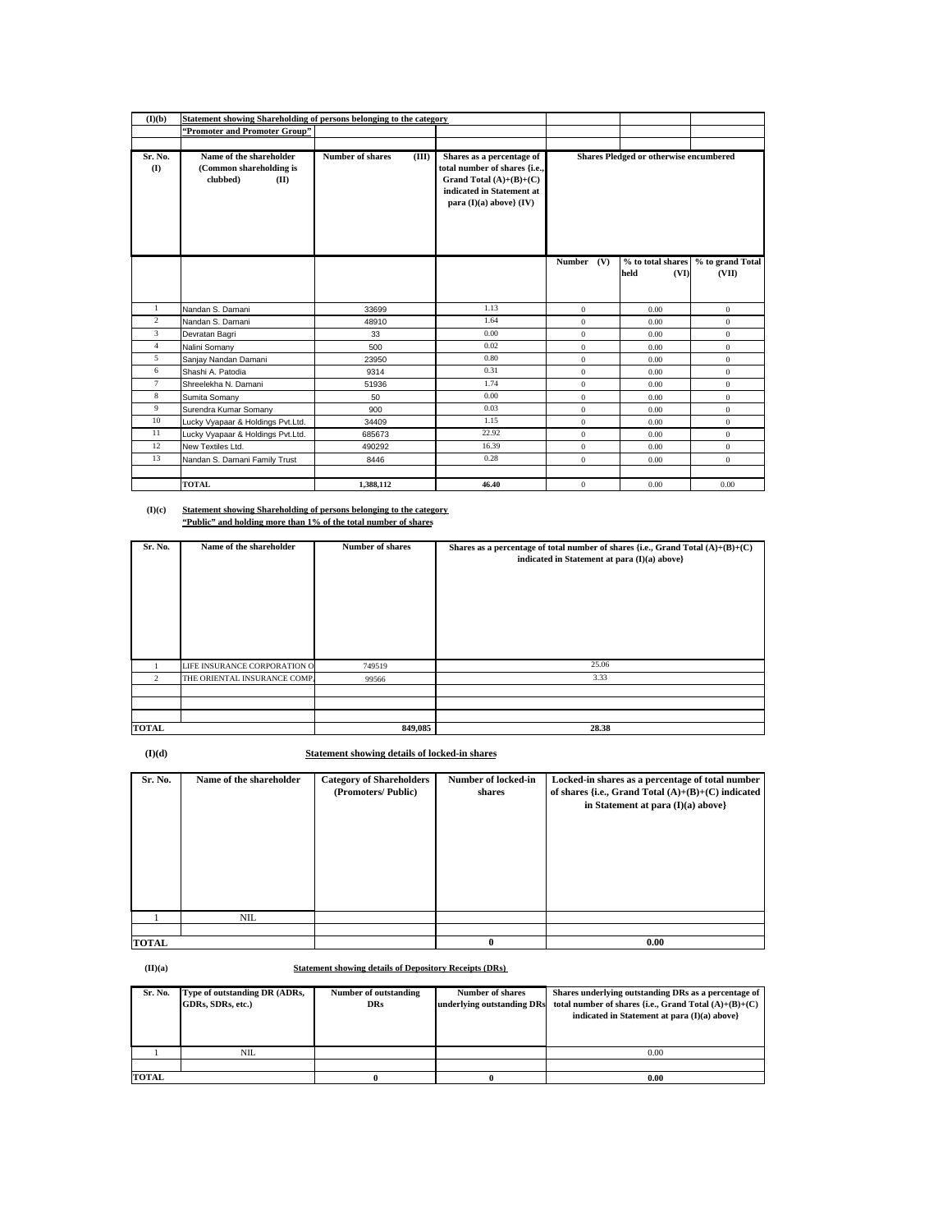| (I)(b)                  | Statement showing Shareholding of persons belonging to the category    |                                  |                                                                                                                                                     |                                        |                                   |                           |
|-------------------------|------------------------------------------------------------------------|----------------------------------|-----------------------------------------------------------------------------------------------------------------------------------------------------|----------------------------------------|-----------------------------------|---------------------------|
|                         | "Promoter and Promoter Group"                                          |                                  |                                                                                                                                                     |                                        |                                   |                           |
|                         |                                                                        |                                  |                                                                                                                                                     |                                        |                                   |                           |
| Sr. No.<br>$($ $\Gamma$ | Name of the shareholder<br>(Common shareholding is<br>clubbed)<br>(II) | <b>Number of shares</b><br>(III) | Shares as a percentage of<br>total number of shares {i.e.,<br>Grand Total $(A)+(B)+(C)$<br>indicated in Statement at<br>para $(I)(a)$ above} $(IV)$ | Shares Pledged or otherwise encumbered |                                   |                           |
|                         |                                                                        |                                  |                                                                                                                                                     | <b>Number</b><br>(V)                   | % to total shares<br>(VI)<br>held | % to grand Total<br>(VII) |
| 1                       | Nandan S. Damani                                                       | 33699                            | 1.13                                                                                                                                                | $\mathbf{0}$                           | 0.00                              | $\mathbf{0}$              |
| $\overline{2}$          | Nandan S. Damani                                                       | 48910                            | 1.64                                                                                                                                                | $\overline{0}$                         | 0.00                              | $\mathbf{0}$              |
| 3                       | Devratan Bagri                                                         | 33                               | 0.00                                                                                                                                                | $\mathbf{0}$                           | 0.00                              | $\mathbf{0}$              |
| $\overline{4}$          | Nalini Somany                                                          | 500                              | 0.02                                                                                                                                                | $\mathbf{0}$                           | 0.00                              | $\mathbf{0}$              |
| 5                       | Sanjay Nandan Damani                                                   | 23950                            | 0.80                                                                                                                                                | $\mathbf{0}$                           | 0.00                              | $\mathbf{0}$              |
| 6                       | Shashi A. Patodia                                                      | 9314                             | 0.31                                                                                                                                                | $\mathbf{0}$                           | 0.00                              | $\mathbf{0}$              |
| $\tau$                  | Shreelekha N. Damani                                                   | 51936                            | 1.74                                                                                                                                                | $\mathbf{0}$                           | 0.00                              | $\mathbf{0}$              |
| 8                       | Sumita Somany                                                          | 50                               | 0.00                                                                                                                                                | $\mathbf{0}$                           | 0.00                              | $\mathbf{0}$              |
| 9                       | Surendra Kumar Somany                                                  | 900                              | 0.03                                                                                                                                                | $\mathbf{0}$                           | 0.00                              | $\mathbf{0}$              |
| 10                      | Lucky Vyapaar & Holdings Pvt.Ltd.                                      | 34409                            | 1.15                                                                                                                                                | $\mathbf{0}$                           | 0.00                              | $\mathbf{0}$              |
| 11                      | Lucky Vyapaar & Holdings Pvt.Ltd.                                      | 685673                           | 22.92                                                                                                                                               | $\Omega$                               | 0.00                              | $\mathbf{0}$              |
| 12                      | New Textiles Ltd.                                                      | 490292                           | 16.39                                                                                                                                               | $\mathbf{0}$                           | 0.00                              | $\mathbf{0}$              |
| 13                      | Nandan S. Damani Family Trust                                          | 8446                             | 0.28                                                                                                                                                | $\mathbf{0}$                           | 0.00                              | $\mathbf{0}$              |
|                         |                                                                        |                                  |                                                                                                                                                     |                                        |                                   |                           |
|                         | <b>TOTAL</b>                                                           | 1.388.112                        | 46.40                                                                                                                                               | $\mathbf{0}$                           | 0.00                              | 0.00                      |

**(I)(c) Statement showing Shareholding of persons belonging to the category "Public" and holding more than 1% of the total number of shares**

| Sr. No.        | Name of the shareholder      | <b>Number of shares</b> | Shares as a percentage of total number of shares {i.e., Grand Total $(A)+(B)+(C)$ |  |
|----------------|------------------------------|-------------------------|-----------------------------------------------------------------------------------|--|
|                |                              |                         | indicated in Statement at para (I)(a) above}                                      |  |
|                |                              |                         |                                                                                   |  |
|                |                              |                         |                                                                                   |  |
|                |                              |                         |                                                                                   |  |
|                |                              |                         |                                                                                   |  |
|                |                              |                         |                                                                                   |  |
|                |                              |                         |                                                                                   |  |
|                |                              |                         |                                                                                   |  |
|                | LIFE INSURANCE CORPORATION O | 749519                  | 25.06                                                                             |  |
| $\overline{2}$ | THE ORIENTAL INSURANCE COMP. | 99566                   | 3.33                                                                              |  |
|                |                              |                         |                                                                                   |  |
|                |                              |                         |                                                                                   |  |
|                |                              |                         |                                                                                   |  |
| <b>TOTAL</b>   |                              | 849,085                 | 28.38                                                                             |  |

**(I)(d) Statement showing details of locked-in shares**

| Sr. No.      | Name of the shareholder | <b>Category of Shareholders</b><br>(Promoters/Public) | Number of locked-in<br>shares | Locked-in shares as a percentage of total number<br>of shares {i.e., Grand Total $(A)+(B)+(C)$ indicated<br>in Statement at para $(I)(a)$ above} |
|--------------|-------------------------|-------------------------------------------------------|-------------------------------|--------------------------------------------------------------------------------------------------------------------------------------------------|
|              | NIL.                    |                                                       |                               |                                                                                                                                                  |
| <b>TOTAL</b> |                         |                                                       | 0                             | 0.00                                                                                                                                             |

**(II)(a)**

**Statement showing details of Depository Receipts (DRs)** 

| Sr. No.      | Type of outstanding DR (ADRs,<br>GDRs, SDRs, etc.) | Number of outstanding<br><b>DRs</b> | <b>Number of shares</b><br>underlying outstanding DRs | Shares underlying outstanding DRs as a percentage of<br>total number of shares {i.e., Grand Total $(A)+(B)+(C)$<br>indicated in Statement at para $(I)(a)$ above |
|--------------|----------------------------------------------------|-------------------------------------|-------------------------------------------------------|------------------------------------------------------------------------------------------------------------------------------------------------------------------|
|              | NIL                                                |                                     |                                                       | 0.00                                                                                                                                                             |
|              |                                                    |                                     |                                                       |                                                                                                                                                                  |
| <b>TOTAL</b> |                                                    |                                     |                                                       | 0.00                                                                                                                                                             |